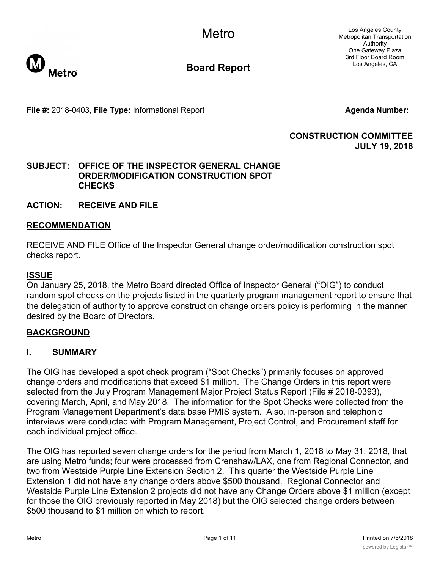**Metro** 

**Board Report**

Los Angeles County Metropolitan Transportation Authority One Gateway Plaza 3rd Floor Board Room Los Angeles, CA

**File #:** 2018-0403, File Type: Informational Report **Agents Agenda Number:** 

### **CONSTRUCTION COMMITTEE JULY 19, 2018**

### **SUBJECT: OFFICE OF THE INSPECTOR GENERAL CHANGE ORDER/MODIFICATION CONSTRUCTION SPOT CHECKS**

**ACTION: RECEIVE AND FILE**

### **RECOMMENDATION**

RECEIVE AND FILE Office of the Inspector General change order/modification construction spot checks report.

### **ISSUE**

On January 25, 2018, the Metro Board directed Office of Inspector General ("OIG") to conduct random spot checks on the projects listed in the quarterly program management report to ensure that the delegation of authority to approve construction change orders policy is performing in the manner desired by the Board of Directors.

## **BACKGROUND**

### **I. SUMMARY**

The OIG has developed a spot check program ("Spot Checks") primarily focuses on approved change orders and modifications that exceed \$1 million. The Change Orders in this report were selected from the July Program Management Major Project Status Report (File # 2018-0393), covering March, April, and May 2018. The information for the Spot Checks were collected from the Program Management Department's data base PMIS system. Also, in-person and telephonic interviews were conducted with Program Management, Project Control, and Procurement staff for each individual project office.

The OIG has reported seven change orders for the period from March 1, 2018 to May 31, 2018, that are using Metro funds; four were processed from Crenshaw/LAX, one from Regional Connector, and two from Westside Purple Line Extension Section 2. This quarter the Westside Purple Line Extension 1 did not have any change orders above \$500 thousand. Regional Connector and Westside Purple Line Extension 2 projects did not have any Change Orders above \$1 million (except for those the OIG previously reported in May 2018) but the OIG selected change orders between \$500 thousand to \$1 million on which to report.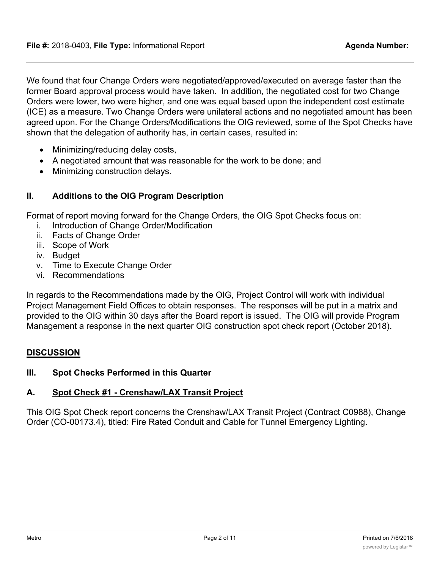We found that four Change Orders were negotiated/approved/executed on average faster than the former Board approval process would have taken. In addition, the negotiated cost for two Change Orders were lower, two were higher, and one was equal based upon the independent cost estimate (ICE) as a measure. Two Change Orders were unilateral actions and no negotiated amount has been agreed upon. For the Change Orders/Modifications the OIG reviewed, some of the Spot Checks have shown that the delegation of authority has, in certain cases, resulted in:

- Minimizing/reducing delay costs,
- · A negotiated amount that was reasonable for the work to be done; and
- · Minimizing construction delays.

## **II. Additions to the OIG Program Description**

Format of report moving forward for the Change Orders, the OIG Spot Checks focus on:

- i. Introduction of Change Order/Modification
- ii. Facts of Change Order
- iii. Scope of Work
- iv. Budget
- v. Time to Execute Change Order
- vi. Recommendations

In regards to the Recommendations made by the OIG, Project Control will work with individual Project Management Field Offices to obtain responses. The responses will be put in a matrix and provided to the OIG within 30 days after the Board report is issued. The OIG will provide Program Management a response in the next quarter OIG construction spot check report (October 2018).

### **DISCUSSION**

### **III. Spot Checks Performed in this Quarter**

## **A. Spot Check #1 - Crenshaw/LAX Transit Project**

This OIG Spot Check report concerns the Crenshaw/LAX Transit Project (Contract C0988), Change Order (CO-00173.4), titled: Fire Rated Conduit and Cable for Tunnel Emergency Lighting.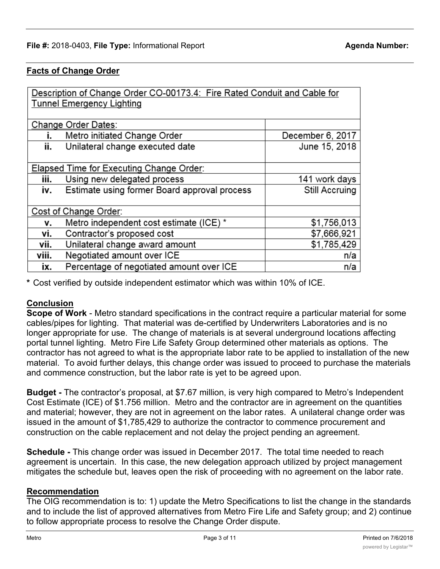#### **Facts of Change Order**

| Description of Change Order CO-00173.4: Fire Rated Conduit and Cable for<br><b>Tunnel Emergency Lighting</b> |                                              |                  |
|--------------------------------------------------------------------------------------------------------------|----------------------------------------------|------------------|
|                                                                                                              | Change Order Dates:                          |                  |
| i.                                                                                                           | Metro initiated Change Order                 | December 6, 2017 |
| ii.                                                                                                          | Unilateral change executed date              | June 15, 2018    |
|                                                                                                              |                                              |                  |
|                                                                                                              | Elapsed Time for Executing Change Order:     |                  |
| iii.                                                                                                         | Using new delegated process                  | 141 work days    |
| iv.                                                                                                          | Estimate using former Board approval process | Still Accruing   |
|                                                                                                              |                                              |                  |
| Cost of Change Order:                                                                                        |                                              |                  |
| ۷.                                                                                                           | Metro independent cost estimate (ICE) *      | \$1,756,013      |
| ۷i.                                                                                                          | Contractor's proposed cost                   | \$7,666,921      |
| vii.                                                                                                         | Unilateral change award amount               | \$1,785,429      |
| viii.                                                                                                        | Negotiated amount over ICE                   | n/a              |
| ix.                                                                                                          | Percentage of negotiated amount over ICE     | n/a              |

**\*** Cost verified by outside independent estimator which was within 10% of ICE.

### **Conclusion**

**Scope of Work** - Metro standard specifications in the contract require a particular material for some cables/pipes for lighting. That material was de-certified by Underwriters Laboratories and is no longer appropriate for use. The change of materials is at several underground locations affecting portal tunnel lighting. Metro Fire Life Safety Group determined other materials as options. The contractor has not agreed to what is the appropriate labor rate to be applied to installation of the new material. To avoid further delays, this change order was issued to proceed to purchase the materials and commence construction, but the labor rate is yet to be agreed upon.

**Budget -** The contractor's proposal, at \$7.67 million, is very high compared to Metro's Independent Cost Estimate (ICE) of \$1.756 million. Metro and the contractor are in agreement on the quantities and material; however, they are not in agreement on the labor rates. A unilateral change order was issued in the amount of \$1,785,429 to authorize the contractor to commence procurement and construction on the cable replacement and not delay the project pending an agreement.

**Schedule -** This change order was issued in December 2017. The total time needed to reach agreement is uncertain. In this case, the new delegation approach utilized by project management mitigates the schedule but, leaves open the risk of proceeding with no agreement on the labor rate.

#### **Recommendation**

The OIG recommendation is to: 1) update the Metro Specifications to list the change in the standards and to include the list of approved alternatives from Metro Fire Life and Safety group; and 2) continue to follow appropriate process to resolve the Change Order dispute.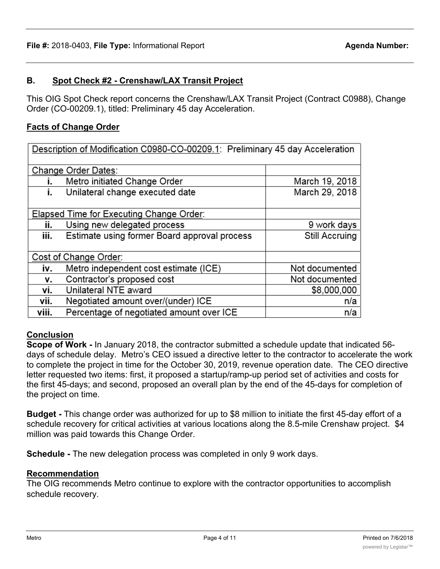## **B. Spot Check #2 - Crenshaw/LAX Transit Project**

This OIG Spot Check report concerns the Crenshaw/LAX Transit Project (Contract C0988), Change Order (CO-00209.1), titled: Preliminary 45 day Acceleration.

## **Facts of Change Order**

| Description of Modification C0980-CO-00209.1: Preliminary 45 day Acceleration |                                              |                |
|-------------------------------------------------------------------------------|----------------------------------------------|----------------|
| Change Order Dates:                                                           |                                              |                |
| i.                                                                            | Metro initiated Change Order                 | March 19, 2018 |
| i.                                                                            | Unilateral change executed date              | March 29, 2018 |
|                                                                               |                                              |                |
|                                                                               | Elapsed Time for Executing Change Order:     |                |
| ii.                                                                           | Using new delegated process                  | 9 work days    |
| iii.                                                                          | Estimate using former Board approval process | Still Accruing |
|                                                                               |                                              |                |
| Cost of Change Order:                                                         |                                              |                |
| iv.                                                                           | Metro independent cost estimate (ICE)        | Not documented |
| ۷.                                                                            | Contractor's proposed cost                   | Not documented |
| ٧i.                                                                           | Unilateral NTE award                         | \$8,000,000    |
| vii.                                                                          | Negotiated amount over/(under) ICE           | n/a            |
| viii.                                                                         | Percentage of negotiated amount over ICE     | n/a            |

### **Conclusion**

**Scope of Work -** In January 2018, the contractor submitted a schedule update that indicated 56 days of schedule delay. Metro's CEO issued a directive letter to the contractor to accelerate the work to complete the project in time for the October 30, 2019, revenue operation date. The CEO directive letter requested two items: first, it proposed a startup/ramp-up period set of activities and costs for the first 45-days; and second, proposed an overall plan by the end of the 45-days for completion of the project on time.

**Budget -** This change order was authorized for up to \$8 million to initiate the first 45-day effort of a schedule recovery for critical activities at various locations along the 8.5-mile Crenshaw project. \$4 million was paid towards this Change Order.

**Schedule -** The new delegation process was completed in only 9 work days.

### **Recommendation**

The OIG recommends Metro continue to explore with the contractor opportunities to accomplish schedule recovery.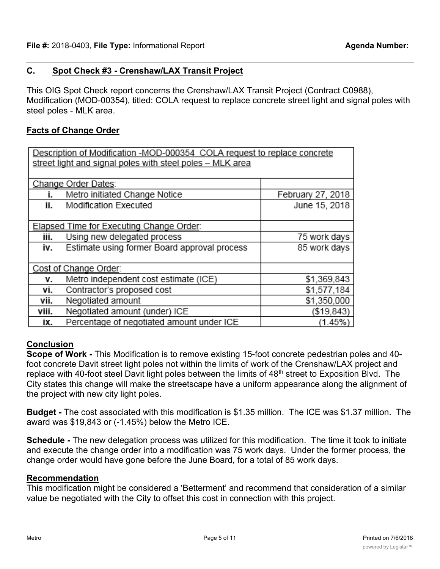## **C. Spot Check #3 - Crenshaw/LAX Transit Project**

This OIG Spot Check report concerns the Crenshaw/LAX Transit Project (Contract C0988), Modification (MOD-00354), titled: COLA request to replace concrete street light and signal poles with steel poles - MLK area.

## **Facts of Change Order**

| Description of Modification -MOD-000354 COLA request to replace concrete |                                              |                   |
|--------------------------------------------------------------------------|----------------------------------------------|-------------------|
| street light and signal poles with steel poles - MLK area                |                                              |                   |
|                                                                          |                                              |                   |
|                                                                          | Change Order Dates:                          |                   |
| İ.                                                                       | Metro initiated Change Notice                | February 27, 2018 |
| ii.                                                                      | Modification Executed                        | June 15, 2018     |
|                                                                          |                                              |                   |
| Elapsed Time for Executing Change Order:                                 |                                              |                   |
| iii.                                                                     | Using new delegated process                  | 75 work days      |
| i۷.                                                                      | Estimate using former Board approval process | 85 work days      |
|                                                                          |                                              |                   |
| Cost of Change Order:                                                    |                                              |                   |
| ۷.                                                                       | Metro independent cost estimate (ICE)        | \$1,369,843       |
| ۷i.                                                                      | Contractor's proposed cost                   | \$1,577,184       |
| Vİİ.                                                                     | Negotiated amount                            | \$1,350,000       |
| viii.                                                                    | Negotiated amount (under) ICE                | ( \$19, 843)      |
| ix.                                                                      | Percentage of negotiated amount under ICE    | (1.45%)           |

## **Conclusion**

**Scope of Work -** This Modification is to remove existing 15-foot concrete pedestrian poles and 40 foot concrete Davit street light poles not within the limits of work of the Crenshaw/LAX project and replace with 40-foot steel Davit light poles between the limits of 48<sup>th</sup> street to Exposition Blvd. The City states this change will make the streetscape have a uniform appearance along the alignment of the project with new city light poles.

**Budget -** The cost associated with this modification is \$1.35 million. The ICE was \$1.37 million. The award was \$19,843 or (-1.45%) below the Metro ICE.

**Schedule -** The new delegation process was utilized for this modification. The time it took to initiate and execute the change order into a modification was 75 work days. Under the former process, the change order would have gone before the June Board, for a total of 85 work days.

### **Recommendation**

This modification might be considered a 'Betterment' and recommend that consideration of a similar value be negotiated with the City to offset this cost in connection with this project.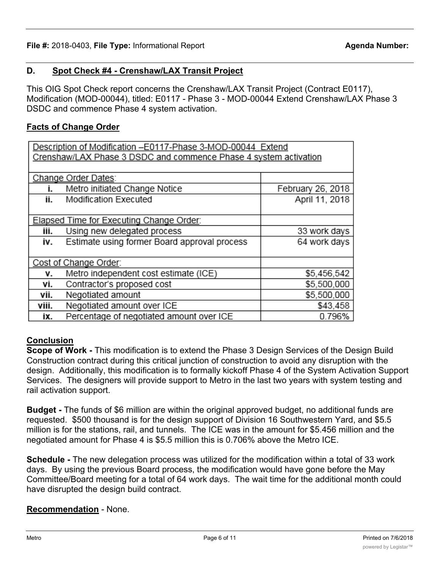# **D. Spot Check #4 - Crenshaw/LAX Transit Project**

This OIG Spot Check report concerns the Crenshaw/LAX Transit Project (Contract E0117), Modification (MOD-00044), titled: E0117 - Phase 3 - MOD-00044 Extend Crenshaw/LAX Phase 3 DSDC and commence Phase 4 system activation.

## **Facts of Change Order**

| Description of Modification -E0117-Phase 3-MOD-00044 Extend      |                                              |                   |
|------------------------------------------------------------------|----------------------------------------------|-------------------|
| Crenshaw/LAX Phase 3 DSDC and commence Phase 4 system activation |                                              |                   |
|                                                                  |                                              |                   |
|                                                                  | Change Order Dates:                          |                   |
| i.                                                               | Metro initiated Change Notice                | February 26, 2018 |
| ii.                                                              | Modification Executed                        | April 11, 2018    |
|                                                                  |                                              |                   |
|                                                                  | Elapsed Time for Executing Change Order:     |                   |
| iii.                                                             | Using new delegated process                  | 33 work days      |
| i۷.                                                              | Estimate using former Board approval process | 64 work days      |
|                                                                  |                                              |                   |
| Cost of Change Order:                                            |                                              |                   |
| ۷.                                                               | Metro independent cost estimate (ICE)        | \$5,456,542       |
| ۷i.                                                              | Contractor's proposed cost                   | \$5,500,000       |
| vii.                                                             | Negotiated amount                            | \$5,500,000       |
| viii.                                                            | Negotiated amount over ICE                   | \$43,458          |
| ix.                                                              | Percentage of negotiated amount over ICE     | 0.796%            |

# **Conclusion**

**Scope of Work -** This modification is to extend the Phase 3 Design Services of the Design Build Construction contract during this critical junction of construction to avoid any disruption with the design. Additionally, this modification is to formally kickoff Phase 4 of the System Activation Support Services. The designers will provide support to Metro in the last two years with system testing and rail activation support.

**Budget -** The funds of \$6 million are within the original approved budget, no additional funds are requested. \$500 thousand is for the design support of Division 16 Southwestern Yard, and \$5.5 million is for the stations, rail, and tunnels. The ICE was in the amount for \$5.456 million and the negotiated amount for Phase 4 is \$5.5 million this is 0.706% above the Metro ICE.

**Schedule -** The new delegation process was utilized for the modification within a total of 33 work days. By using the previous Board process, the modification would have gone before the May Committee/Board meeting for a total of 64 work days. The wait time for the additional month could have disrupted the design build contract.

# **Recommendation** - None.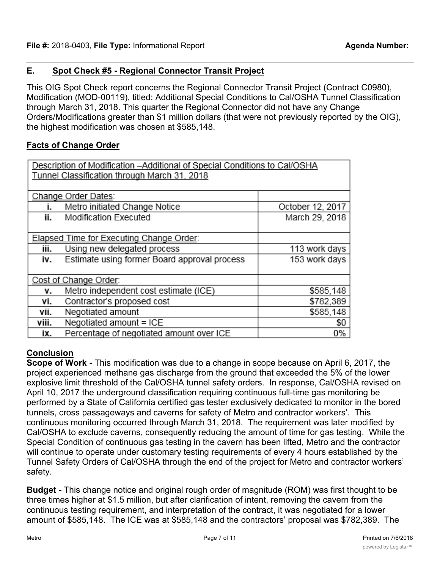## **E. Spot Check #5 - Regional Connector Transit Project**

This OIG Spot Check report concerns the Regional Connector Transit Project (Contract C0980), Modification (MOD-00119), titled: Additional Special Conditions to Cal/OSHA Tunnel Classification through March 31, 2018. This quarter the Regional Connector did not have any Change Orders/Modifications greater than \$1 million dollars (that were not previously reported by the OIG), the highest modification was chosen at \$585,148.

## **Facts of Change Order**

| Description of Modification - Additional of Special Conditions to Cal/OSHA |                                                 |                  |
|----------------------------------------------------------------------------|-------------------------------------------------|------------------|
| Tunnel Classification through March 31, 2018                               |                                                 |                  |
|                                                                            |                                                 |                  |
|                                                                            | Change Order Dates:                             |                  |
| i.                                                                         | Metro initiated Change Notice                   | October 12, 2017 |
| ii.                                                                        | Modification Executed                           | March 29, 2018   |
|                                                                            |                                                 |                  |
|                                                                            | <b>Elapsed Time for Executing Change Order:</b> |                  |
| iii.                                                                       | Using new delegated process                     | 113 work days    |
| i۷.                                                                        | Estimate using former Board approval process    | 153 work days    |
|                                                                            |                                                 |                  |
| Cost of Change Order:                                                      |                                                 |                  |
| ۷.                                                                         | Metro independent cost estimate (ICE)           | \$585,148        |
| ۷i.                                                                        | Contractor's proposed cost                      | \$782,389        |
| Vii.                                                                       | Negotiated amount                               | \$585,148        |
| viii.                                                                      | Negotiated amount = ICE                         | \$0              |
| ix.                                                                        | Percentage of negotiated amount over ICE        | 0%               |

## **Conclusion**

**Scope of Work -** This modification was due to a change in scope because on April 6, 2017, the project experienced methane gas discharge from the ground that exceeded the 5% of the lower explosive limit threshold of the Cal/OSHA tunnel safety orders. In response, Cal/OSHA revised on April 10, 2017 the underground classification requiring continuous full-time gas monitoring be performed by a State of California certified gas tester exclusively dedicated to monitor in the bored tunnels, cross passageways and caverns for safety of Metro and contractor workers'. This continuous monitoring occurred through March 31, 2018. The requirement was later modified by Cal/OSHA to exclude caverns, consequently reducing the amount of time for gas testing. While the Special Condition of continuous gas testing in the cavern has been lifted, Metro and the contractor will continue to operate under customary testing requirements of every 4 hours established by the Tunnel Safety Orders of Cal/OSHA through the end of the project for Metro and contractor workers' safety.

**Budget -** This change notice and original rough order of magnitude (ROM) was first thought to be three times higher at \$1.5 million, but after clarification of intent, removing the cavern from the continuous testing requirement, and interpretation of the contract, it was negotiated for a lower amount of \$585,148. The ICE was at \$585,148 and the contractors' proposal was \$782,389. The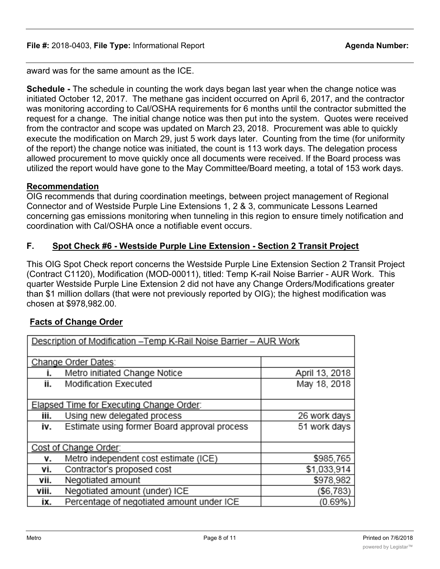award was for the same amount as the ICE.

**Schedule -** The schedule in counting the work days began last year when the change notice was initiated October 12, 2017. The methane gas incident occurred on April 6, 2017, and the contractor was monitoring according to Cal/OSHA requirements for 6 months until the contractor submitted the request for a change. The initial change notice was then put into the system. Quotes were received from the contractor and scope was updated on March 23, 2018. Procurement was able to quickly execute the modification on March 29, just 5 work days later. Counting from the time (for uniformity of the report) the change notice was initiated, the count is 113 work days. The delegation process allowed procurement to move quickly once all documents were received. If the Board process was utilized the report would have gone to the May Committee/Board meeting, a total of 153 work days.

### **Recommendation**

OIG recommends that during coordination meetings, between project management of Regional Connector and of Westside Purple Line Extensions 1, 2 & 3, communicate Lessons Learned concerning gas emissions monitoring when tunneling in this region to ensure timely notification and coordination with Cal/OSHA once a notifiable event occurs.

### **F. Spot Check #6 - Westside Purple Line Extension - Section 2 Transit Project**

This OIG Spot Check report concerns the Westside Purple Line Extension Section 2 Transit Project (Contract C1120), Modification (MOD-00011), titled: Temp K-rail Noise Barrier - AUR Work. This quarter Westside Purple Line Extension 2 did not have any Change Orders/Modifications greater than \$1 million dollars (that were not previously reported by OIG); the highest modification was chosen at \$978,982.00.

### **Facts of Change Order**

| Description of Modification - Temp K-Rail Noise Barrier - AUR Work |                                              |                |
|--------------------------------------------------------------------|----------------------------------------------|----------------|
| Change Order Dates:                                                |                                              |                |
| İ.                                                                 | Metro initiated Change Notice                | April 13, 2018 |
| İİ.                                                                | Modification Executed                        | May 18, 2018   |
|                                                                    |                                              |                |
|                                                                    | Elapsed Time for Executing Change Order:     |                |
| iii.                                                               | Using new delegated process                  | 26 work days   |
| i۷.                                                                | Estimate using former Board approval process | 51 work days   |
|                                                                    |                                              |                |
| Cost of Change Order:                                              |                                              |                |
| ۷.                                                                 | Metro independent cost estimate (ICE)        | \$985,765      |
| ٧İ.                                                                | Contractor's proposed cost                   | \$1,033,914    |
| vii.                                                               | Negotiated amount                            | \$978,982      |
| viii.                                                              | Negotiated amount (under) ICE                | (\$6,783)      |
| ix.                                                                | Percentage of negotiated amount under ICE    | (0.69%)        |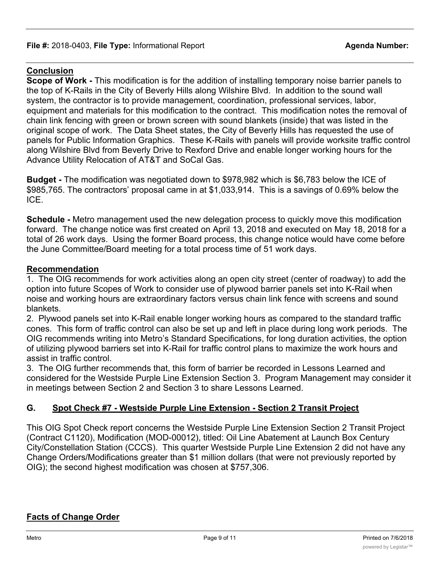## **Conclusion**

**Scope of Work -** This modification is for the addition of installing temporary noise barrier panels to the top of K-Rails in the City of Beverly Hills along Wilshire Blvd. In addition to the sound wall system, the contractor is to provide management, coordination, professional services, labor, equipment and materials for this modification to the contract. This modification notes the removal of chain link fencing with green or brown screen with sound blankets (inside) that was listed in the original scope of work. The Data Sheet states, the City of Beverly Hills has requested the use of panels for Public Information Graphics. These K-Rails with panels will provide worksite traffic control along Wilshire Blvd from Beverly Drive to Rexford Drive and enable longer working hours for the Advance Utility Relocation of AT&T and SoCal Gas.

**Budget -** The modification was negotiated down to \$978,982 which is \$6,783 below the ICE of \$985,765. The contractors' proposal came in at \$1,033,914. This is a savings of 0.69% below the ICE.

**Schedule -** Metro management used the new delegation process to quickly move this modification forward. The change notice was first created on April 13, 2018 and executed on May 18, 2018 for a total of 26 work days. Using the former Board process, this change notice would have come before the June Committee/Board meeting for a total process time of 51 work days.

### **Recommendation**

1. The OIG recommends for work activities along an open city street (center of roadway) to add the option into future Scopes of Work to consider use of plywood barrier panels set into K-Rail when noise and working hours are extraordinary factors versus chain link fence with screens and sound blankets.

2. Plywood panels set into K-Rail enable longer working hours as compared to the standard traffic cones. This form of traffic control can also be set up and left in place during long work periods. The OIG recommends writing into Metro's Standard Specifications, for long duration activities, the option of utilizing plywood barriers set into K-Rail for traffic control plans to maximize the work hours and assist in traffic control.

3. The OIG further recommends that, this form of barrier be recorded in Lessons Learned and considered for the Westside Purple Line Extension Section 3. Program Management may consider it in meetings between Section 2 and Section 3 to share Lessons Learned.

## **G. Spot Check #7 - Westside Purple Line Extension - Section 2 Transit Project**

This OIG Spot Check report concerns the Westside Purple Line Extension Section 2 Transit Project (Contract C1120), Modification (MOD-00012), titled: Oil Line Abatement at Launch Box Century City/Constellation Station (CCCS). This quarter Westside Purple Line Extension 2 did not have any Change Orders/Modifications greater than \$1 million dollars (that were not previously reported by OIG); the second highest modification was chosen at \$757,306.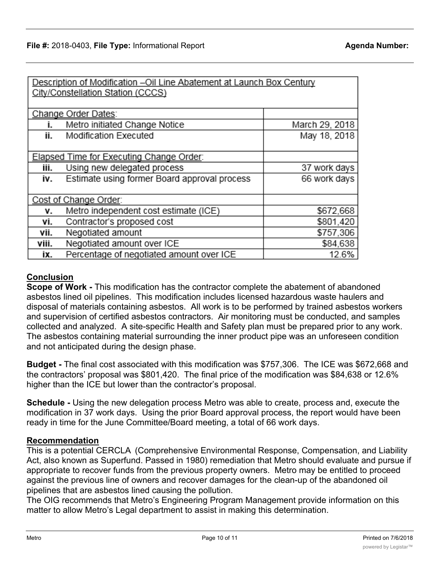| Description of Modification - Oil Line Abatement at Launch Box Century |                                              |                |
|------------------------------------------------------------------------|----------------------------------------------|----------------|
| City/Constellation Station (CCCS)                                      |                                              |                |
|                                                                        |                                              |                |
|                                                                        |                                              |                |
|                                                                        | Change Order Dates:                          |                |
| İ.                                                                     | Metro initiated Change Notice                | March 29, 2018 |
| ii.                                                                    | Modification Executed                        | May 18, 2018   |
|                                                                        |                                              |                |
| Elapsed Time for Executing Change Order:                               |                                              |                |
| iii.                                                                   | Using new delegated process                  | 37 work days   |
| İ٧.                                                                    | Estimate using former Board approval process | 66 work days   |
|                                                                        |                                              |                |
| Cost of Change Order:                                                  |                                              |                |
| ۷.                                                                     | Metro independent cost estimate (ICE)        | \$672,668      |
| ٧i.                                                                    | Contractor's proposed cost                   | \$801,420      |
| vii.                                                                   | Negotiated amount                            | \$757,306      |
| viii.                                                                  | Negotiated amount over ICE                   | \$84,638       |
| ix.                                                                    | Percentage of negotiated amount over ICE     | 12.6%          |

## **Conclusion**

**Scope of Work -** This modification has the contractor complete the abatement of abandoned asbestos lined oil pipelines. This modification includes licensed hazardous waste haulers and disposal of materials containing asbestos. All work is to be performed by trained asbestos workers and supervision of certified asbestos contractors. Air monitoring must be conducted, and samples collected and analyzed. A site-specific Health and Safety plan must be prepared prior to any work. The asbestos containing material surrounding the inner product pipe was an unforeseen condition and not anticipated during the design phase.

**Budget -** The final cost associated with this modification was \$757,306. The ICE was \$672,668 and the contractors' proposal was \$801,420. The final price of the modification was \$84,638 or 12.6% higher than the ICE but lower than the contractor's proposal.

**Schedule -** Using the new delegation process Metro was able to create, process and, execute the modification in 37 work days. Using the prior Board approval process, the report would have been ready in time for the June Committee/Board meeting, a total of 66 work days.

### **Recommendation**

This is a potential CERCLA (Comprehensive Environmental Response, Compensation, and Liability Act, also known as Superfund. Passed in 1980) remediation that Metro should evaluate and pursue if appropriate to recover funds from the previous property owners. Metro may be entitled to proceed against the previous line of owners and recover damages for the clean-up of the abandoned oil pipelines that are asbestos lined causing the pollution.

The OIG recommends that Metro's Engineering Program Management provide information on this matter to allow Metro's Legal department to assist in making this determination.